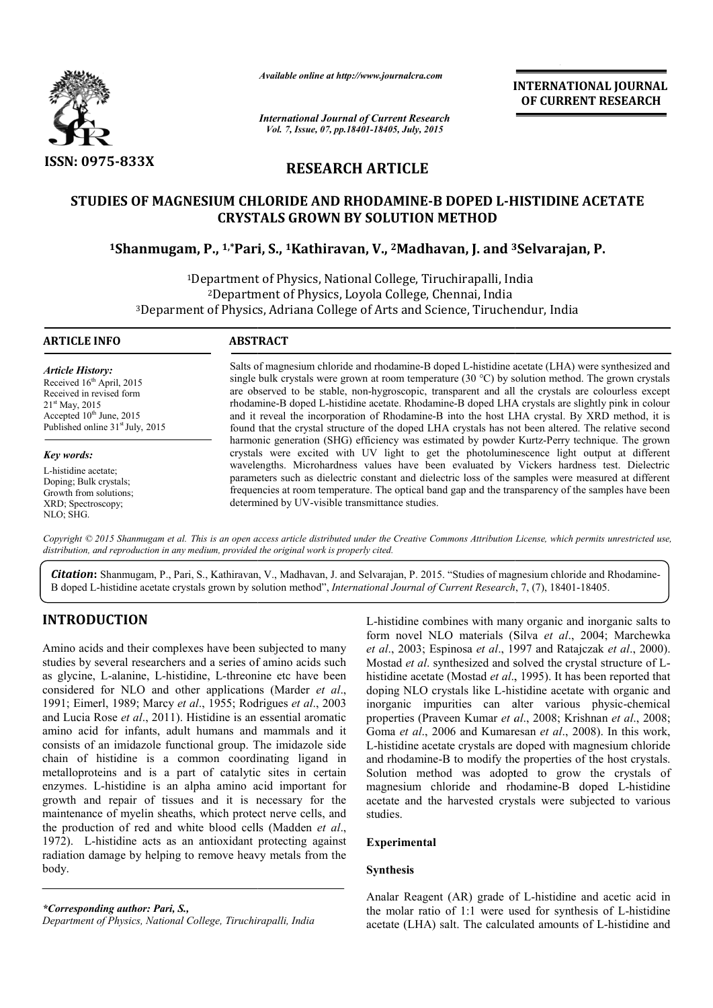

*Available online at http://www.journalcra.com*

*International Journal of Current Research Vol. 7, Issue, 07, pp.18401-18405, July, 2015*

**INTERNATIONAL INTERNATIONAL JOURNAL OF CURRENT RESEARCH** 

## **RESEARCH ARTICLE**

# **STUDIES OF MAGNESIUM CHLORIDE AND RHODAMINE RHODAMINE-B DOPED L-HISTIDINE ACETATE CRYSTALS GROWN BY SOLUTION METHOD** IES OF MAGNESIUM CHLORIDE AND RHODAMINE-B DOPED L-HISTIDINE ACE<br>CRYSTALS GROWN BY SOLUTION METHOD<br><sup>1</sup>Shanmugam, P., <sup>1,\*</sup>Pari, S., <sup>1</sup>Kathiravan, V., <sup>2</sup>Madhavan, J. and <sup>3</sup>Selvarajan, P.

1Department of Physics, National College, Tiruchirapalli, India 2Department of Physics, Loyola College, Chennai, India 3Deparment of Physics, Adriana College of Arts and Science, Tiruchendur, <sup>1</sup>Department of Physics, Natior<br><sup>2</sup>Department of Physics, Lo<br>Deparment of Physics, Adriana College India

## **ARTICLE INFO ABSTRACT**

*Article History:* Received 16<sup>th</sup> April, 2015 Received in revised form 21st May, 2015 Accepted 10<sup>th</sup> June, 2015 Published online  $31<sup>st</sup>$  July, 2015

*Key words:* L-histidine acetate; Doping; Bulk crystals; Growth from solutions; XRD; Spectroscopy;

NLO; SHG.

Salts of magnesium chloride and rhodamine-B doped L-histidine acetate (LHA) were synthesized and single bulk crystals were grown at room temperature  $(30 °C)$  by solution method. The grown crystals are observed to be stable, non-hygroscopic, transparent and all the crystals are colourless except rhodamine rhodamine-B doped L-histidine acetate. Rhodamine-B doped LHA crystals are slightly pink in colour and it reveal the incorporation of Rhodamine-B into the host LHA crystal. By XRD method, it is found that the crystal structure of the doped LHA crystals has not been altered. The relative second Salts of magnesium chloride and rhodamine-B doped L-histidine acetate (LHA) were synthesized and single bulk crystals were grown at room temperature (30 °C) by solution method. The grown crystals are observed to be stable, crystals were excited with UV light to get the photoluminescence light output at different wavelengths. Microhardness values have been evaluated by Vickers hardness test. Dielectric parameters such as dielectric constant and dielectric loss of the samples were measured at different frequencies at room temperature. The optical band gap and the transparency of the samples have been determined by UV-visible transmittance studies. crystals were excited with UV light to get the photoluminescence light output at different wavelengths. Microhardness values have been evaluated by Vickers hardness test. Dielectric parameters such as dielectric constant a

Copyright © 2015 Shanmugam et al. This is an open access article distributed under the Creative Commons Attribution License, which permits unrestricted use, *distribution, and reproduction in any medium, provided the original work is properly cited.*

Citation: Shanmugam, P., Pari, S., Kathiravan, V., Madhavan, J. and Selvarajan, P. 2015. "Studies of magnesium chloride and Rhodamine-B doped L-histidine acetate crystals grown by solution method", *International Journal of Current Research*, 7, (7), 18401-18405.

## **INTRODUCTION**

Amino acids and their complexes have been subjected to many studies by several researchers and a series of amino acids such as glycine, L-alanine, L-histidine, L-threonine etc have been as glycine, L-alanine, L-histidine, L-threonine etc have been<br>considered for NLO and other applications (Marder *et al.*, 1991; Eimerl, 1989; Marcy *et al*., 1955; Rodrigues *et al*., 2003 and Lucia Rose *et al*., 2011). Histidine is an essential aromatic amino acid for infants, adult humans and mammals and it consists of an imidazole functional group. The imidazole side chain of histidine is a common coordinating ligand in metalloproteins and is a part of catalytic sites in certain enzymes. L-histidine is an alpha amino acid important for growth and repair of tissues and it is necessary for the maintenance of myelin sheaths, which protect nerve cells, and the production of red and white blood cells (Madden  $et al.$ 1972). L-histidine acts as an antioxidant protecting against radiation damage by helping to remove heavy metals from the body. ia Rose *et al.*, 2011). Histidine is an essential aromatic cid for infants, adult humans and mammals and it of an imidazole functional group. The imidazole side f histidine is a common coordinating ligand in roteins and

*\*Corresponding author: Pari, S., Department of Physics, National College, Tiruchirapalli, India*

**UCTION**<br>
L-histidine combines with many organic and inorganic salts to<br>
to m novel NLO materials (Silva *et al.*, 2004; Marchewka<br>
several researchers and a series of amino acids such Mostad *et al.*, 9197 and Ratajczak L-histidine combines with many organic and inorganic salts to form novel NLO materials (Silva *et al.*, 2004; Marchewka *et al*., 2003; Espinosa *et al*., 1997 and Ratajczak *et al*., 2000). Mostad et al. synthesized and solved the crystal structure of Lhistidine acetate (Mostad *et al.*, 1995). It has been reported that doping NLO crystals like L-histidine acetate with organic and doping NLO crystals like L-histidine acetate with organic and inorganic impurities can alter various physic-chemical properties (Praveen Kumar *et al et* ., 2008; Krishnan *et al*., 2008; Goma *et al*., 2006 and Kumaresan *et al*., 2008). In this work, L-histidine acetate crystals are doped with magnesium chloride and rhodamine-B to modify the properties of the host crystals. Solution method was adopted to grow the crystals of L-histidine acetate crystals are doped with magnesium chloride and rhodamine-B to modify the properties of the host crystals. Solution method was adopted to grow the crystals of magnesium chloride and rhodamine-B doped L-h acetate and the harvested crystals were subjected to various studies. acetate and the harvested crystals were subjected to various<br>studies.<br>**Experimental**<br>**Synthesis**<br>Analar Reagent (AR) grade of L-histidine and acetic acid in

## **Experimental**

## **Synthesis**

the molar ratio of  $1:1$  were used for synthesis of L-histidine acetate (LHA) salt. The calculated amounts of L-histidine and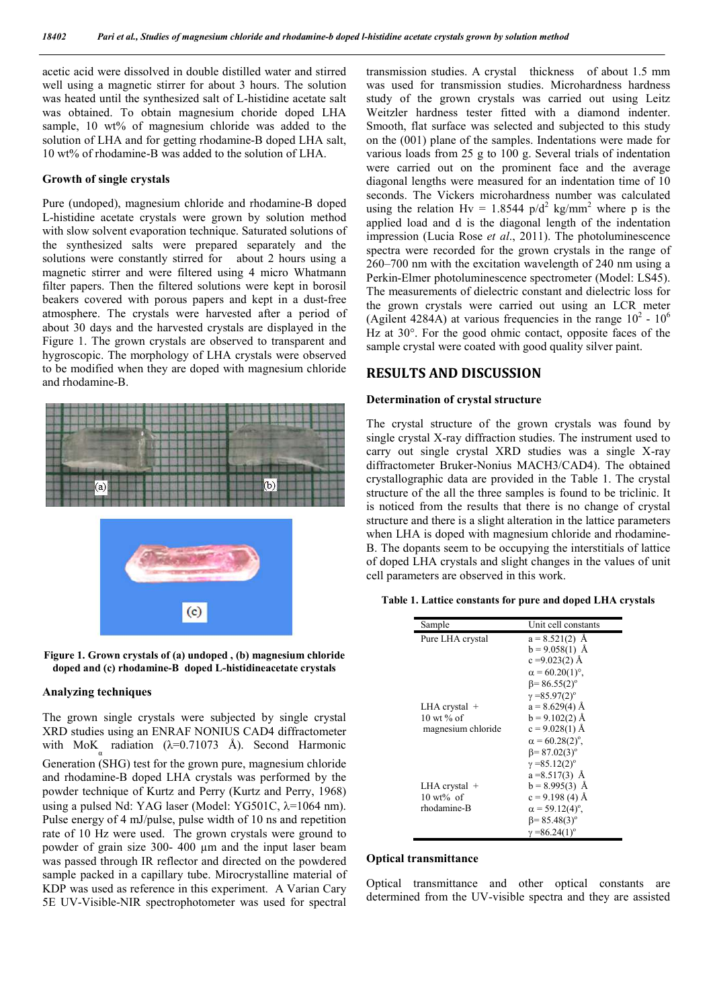acetic acid were dissolved in double distilled water and stirred well using a magnetic stirrer for about 3 hours. The solution was heated until the synthesized salt of L-histidine acetate salt was obtained. To obtain magnesium choride doped LHA sample, 10 wt% of magnesium chloride was added to the solution of LHA and for getting rhodamine-B doped LHA salt, 10 wt% of rhodamine-B was added to the solution of LHA.

## **Growth of single crystals**

Pure (undoped), magnesium chloride and rhodamine-B doped L-histidine acetate crystals were grown by solution method with slow solvent evaporation technique. Saturated solutions of the synthesized salts were prepared separately and the solutions were constantly stirred for about 2 hours using a magnetic stirrer and were filtered using 4 micro Whatmann filter papers. Then the filtered solutions were kept in borosil beakers covered with porous papers and kept in a dust-free atmosphere. The crystals were harvested after a period of about 30 days and the harvested crystals are displayed in the Figure 1. The grown crystals are observed to transparent and hygroscopic. The morphology of LHA crystals were observed to be modified when they are doped with magnesium chloride and rhodamine-B.







## **Analyzing techniques**

The grown single crystals were subjected by single crystal XRD studies using an ENRAF NONIUS CAD4 diffractometer with MoK radiation  $(\lambda=0.71073 \text{ Å})$ . Second Harmonic Generation (SHG) test for the grown pure, magnesium chloride and rhodamine-B doped LHA crystals was performed by the powder technique of Kurtz and Perry (Kurtz and Perry, 1968) using a pulsed Nd: YAG laser (Model: YG501C,  $\lambda$ =1064 nm). Pulse energy of 4 mJ/pulse, pulse width of 10 ns and repetition rate of 10 Hz were used. The grown crystals were ground to powder of grain size 300- 400 µm and the input laser beam was passed through IR reflector and directed on the powdered sample packed in a capillary tube. Mirocrystalline material of KDP was used as reference in this experiment. A Varian Cary 5E UV-Visible-NIR spectrophotometer was used for spectral

transmission studies. A crystal thickness of about 1.5 mm was used for transmission studies. Microhardness hardness study of the grown crystals was carried out using Leitz Weitzler hardness tester fitted with a diamond indenter. Smooth, flat surface was selected and subjected to this study on the (001) plane of the samples. Indentations were made for various loads from 25 g to 100 g. Several trials of indentation were carried out on the prominent face and the average diagonal lengths were measured for an indentation time of 10 seconds. The Vickers microhardness number was calculated using the relation Hv = 1.8544  $p/d^2$  kg/mm<sup>2</sup> where p is the applied load and d is the diagonal length of the indentation impression (Lucia Rose *et al*., 2011). The photoluminescence spectra were recorded for the grown crystals in the range of 260–700 nm with the excitation wavelength of 240 nm using a Perkin-Elmer photoluminescence spectrometer (Model: LS45). The measurements of dielectric constant and dielectric loss for the grown crystals were carried out using an LCR meter (Agilent 4284A) at various frequencies in the range  $10^2 \cdot 10^6$ Hz at 30°. For the good ohmic contact, opposite faces of the sample crystal were coated with good quality silver paint.

## **RESULTS AND DISCUSSION**

## **Determination of crystal structure**

The crystal structure of the grown crystals was found by single crystal X-ray diffraction studies. The instrument used to carry out single crystal XRD studies was a single X-ray diffractometer Bruker-Nonius MACH3/CAD4). The obtained crystallographic data are provided in the Table 1. The crystal structure of the all the three samples is found to be triclinic. It is noticed from the results that there is no change of crystal structure and there is a slight alteration in the lattice parameters when LHA is doped with magnesium chloride and rhodamine-B. The dopants seem to be occupying the interstitials of lattice of doped LHA crystals and slight changes in the values of unit cell parameters are observed in this work.

| Sample                 | Unit cell constants                |
|------------------------|------------------------------------|
| Pure LHA crystal       | $a = 8.521(2)$ Å                   |
|                        | $b = 9.058(1)$ Å                   |
|                        | $c = 9.023(2)$ Å                   |
|                        | $\alpha$ = 60.20(1)°.              |
|                        | $\beta$ = 86.55(2) <sup>o</sup>    |
|                        | $\gamma = 85.97(2)^{\circ}$        |
| $LHA$ crystal $+$      | $a = 8.629(4)$ Å                   |
| $10 \text{ wt } \%$ of | $b = 9.102(2)$ Å                   |
| magnesium chloride     | $c = 9.028(1)$ Å                   |
|                        | $\alpha$ = 60.28(2) <sup>o</sup> , |
|                        | $\beta$ = 87.02(3) <sup>o</sup>    |
|                        | $\gamma = 85.12(2)^{\circ}$        |
|                        | $a = 8.517(3)$ Å                   |
| LHA crystal +          | $b = 8.995(3)$ Å                   |
| $10 \text{ wt\% of}$   | $c = 9.198(4)$ Å                   |
| rhodamine-B            | $\alpha$ = 59.12(4) <sup>o</sup> , |
|                        | $\beta$ = 85.48(3) <sup>o</sup>    |
|                        | $\gamma = 86.24(1)^{\circ}$        |

**Table 1. Lattice constants for pure and doped LHA crystals**

## **Optical transmittance**

Optical transmittance and other optical constants are determined from the UV-visible spectra and they are assisted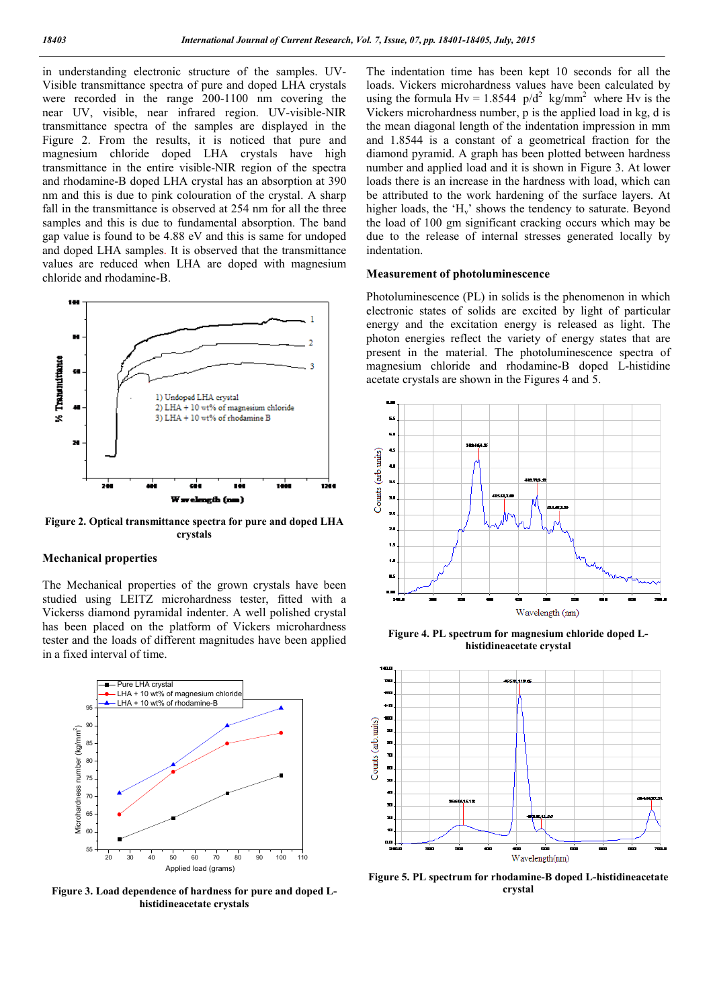in understanding electronic structure of the samples. UV-Visible transmittance spectra of pure and doped LHA crystals were recorded in the range 200-1100 nm covering the near UV, visible, near infrared region. UV-visible-NIR transmittance spectra of the samples are displayed in the Figure 2. From the results, it is noticed that pure and magnesium chloride doped LHA crystals have high transmittance in the entire visible-NIR region of the spectra and rhodamine-B doped LHA crystal has an absorption at 390 nm and this is due to pink colouration of the crystal. A sharp fall in the transmittance is observed at 254 nm for all the three samples and this is due to fundamental absorption. The band gap value is found to be 4.88 eV and this is same for undoped and doped LHA samples. It is observed that the transmittance values are reduced when LHA are doped with magnesium chloride and rhodamine-B.



**Figure 2. Optical transmittance spectra for pure and doped LHA crystals**

## **Mechanical properties**

The Mechanical properties of the grown crystals have been studied using LEITZ microhardness tester, fitted with a Vickerss diamond pyramidal indenter. A well polished crystal has been placed on the platform of Vickers microhardness tester and the loads of different magnitudes have been applied in a fixed interval of time.



**Figure 3. Load dependence of hardness for pure and doped Lhistidineacetate crystals**

The indentation time has been kept 10 seconds for all the loads. Vickers microhardness values have been calculated by using the formula Hv = 1.8544  $p/d^2$  kg/mm<sup>2</sup> where Hv is the Vickers microhardness number, p is the applied load in kg, d is the mean diagonal length of the indentation impression in mm and 1.8544 is a constant of a geometrical fraction for the diamond pyramid. A graph has been plotted between hardness number and applied load and it is shown in Figure 3. At lower loads there is an increase in the hardness with load, which can be attributed to the work hardening of the surface layers. At higher loads, the  $H_v$  shows the tendency to saturate. Beyond the load of 100 gm significant cracking occurs which may be due to the release of internal stresses generated locally by indentation.

## **Measurement of photoluminescence**

Photoluminescence (PL) in solids is the phenomenon in which electronic states of solids are excited by light of particular energy and the excitation energy is released as light. The photon energies reflect the variety of energy states that are present in the material. The photoluminescence spectra of magnesium chloride and rhodamine-B doped L-histidine acetate crystals are shown in the Figures 4 and 5.



**Figure 4. PL spectrum for magnesium chloride doped Lhistidineacetate crystal**



**Figure 5. PL spectrum for rhodamine-B doped L-histidineacetate crystal**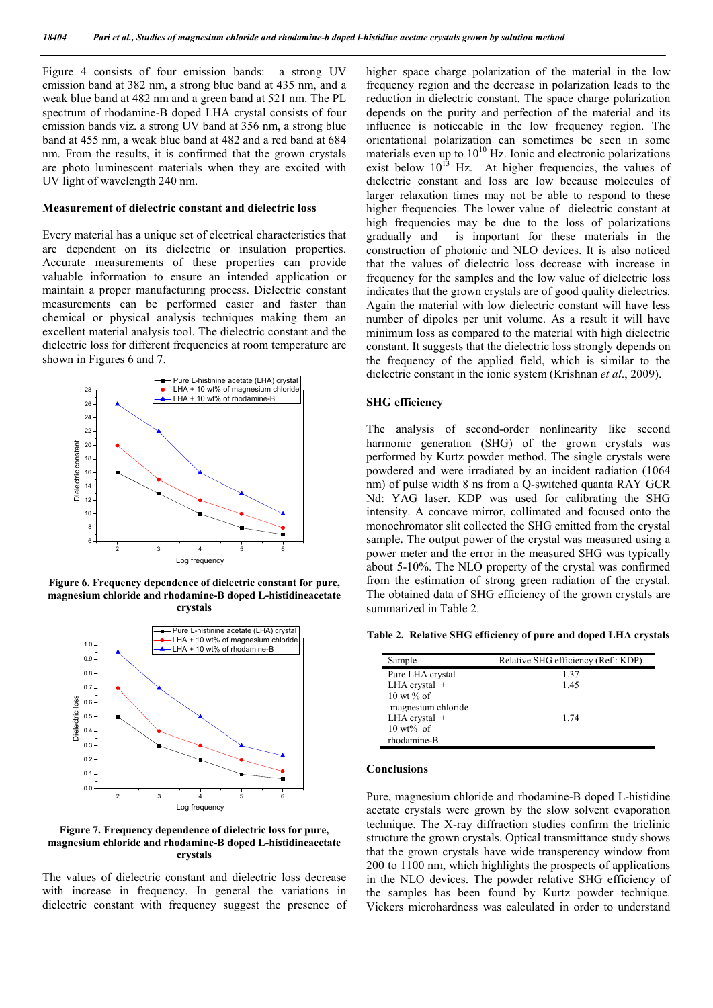Figure 4 consists of four emission bands: a strong UV emission band at 382 nm, a strong blue band at 435 nm, and a weak blue band at 482 nm and a green band at 521 nm. The PL spectrum of rhodamine-B doped LHA crystal consists of four emission bands viz. a strong UV band at 356 nm, a strong blue band at 455 nm, a weak blue band at 482 and a red band at 684 nm. From the results, it is confirmed that the grown crystals are photo luminescent materials when they are excited with UV light of wavelength 240 nm.

### **Measurement of dielectric constant and dielectric loss**

Every material has a unique set of electrical characteristics that are dependent on its dielectric or insulation properties. Accurate measurements of these properties can provide valuable information to ensure an intended application or maintain a proper manufacturing process. Dielectric constant measurements can be performed easier and faster than chemical or physical analysis techniques making them an excellent material analysis tool. The dielectric constant and the dielectric loss for different frequencies at room temperature are shown in Figures 6 and 7.



**Figure 6. Frequency dependence of dielectric constant for pure, magnesium chloride and rhodamine-B doped L-histidineacetate crystals**



**Figure 7. Frequency dependence of dielectric loss for pure, magnesium chloride and rhodamine-B doped L-histidineacetate crystals**

The values of dielectric constant and dielectric loss decrease with increase in frequency. In general the variations in dielectric constant with frequency suggest the presence of higher space charge polarization of the material in the low frequency region and the decrease in polarization leads to the reduction in dielectric constant. The space charge polarization depends on the purity and perfection of the material and its influence is noticeable in the low frequency region. The orientational polarization can sometimes be seen in some materials even up to  $10^{10}$  Hz. Ionic and electronic polarizations exist below  $10^{13}$  Hz. At higher frequencies, the values of dielectric constant and loss are low because molecules of larger relaxation times may not be able to respond to these higher frequencies. The lower value of dielectric constant at high frequencies may be due to the loss of polarizations gradually and is important for these materials in the construction of photonic and NLO devices. It is also noticed that the values of dielectric loss decrease with increase in frequency for the samples and the low value of dielectric loss indicates that the grown crystals are of good quality dielectrics. Again the material with low dielectric constant will have less number of dipoles per unit volume. As a result it will have minimum loss as compared to the material with high dielectric constant. It suggests that the dielectric loss strongly depends on the frequency of the applied field, which is similar to the dielectric constant in the ionic system (Krishnan *et al*., 2009).

## **SHG efficiency**

The analysis of second-order nonlinearity like second harmonic generation (SHG) of the grown crystals was performed by Kurtz powder method. The single crystals were powdered and were irradiated by an incident radiation (1064 nm) of pulse width 8 ns from a Q-switched quanta RAY GCR Nd: YAG laser. KDP was used for calibrating the SHG intensity. A concave mirror, collimated and focused onto the monochromator slit collected the SHG emitted from the crystal sample**.** The output power of the crystal was measured using a power meter and the error in the measured SHG was typically about 5-10%. The NLO property of the crystal was confirmed from the estimation of strong green radiation of the crystal. The obtained data of SHG efficiency of the grown crystals are summarized in Table 2.

**Table 2. Relative SHG efficiency of pure and doped LHA crystals**

| Sample                 | Relative SHG efficiency (Ref.: KDP) |
|------------------------|-------------------------------------|
| Pure LHA crystal       | 1.37                                |
| LHA crystal $+$        | 1.45                                |
| $10 \text{ wt } \%$ of |                                     |
| magnesium chloride     |                                     |
| LHA crystal $+$        | 1 74                                |
| $10 \text{ wt\% of}$   |                                     |
| rhodamine-B            |                                     |

#### **Conclusions**

Pure, magnesium chloride and rhodamine-B doped L-histidine acetate crystals were grown by the slow solvent evaporation technique. The X-ray diffraction studies confirm the triclinic structure the grown crystals. Optical transmittance study shows that the grown crystals have wide transperency window from 200 to 1100 nm, which highlights the prospects of applications in the NLO devices. The powder relative SHG efficiency of the samples has been found by Kurtz powder technique. Vickers microhardness was calculated in order to understand